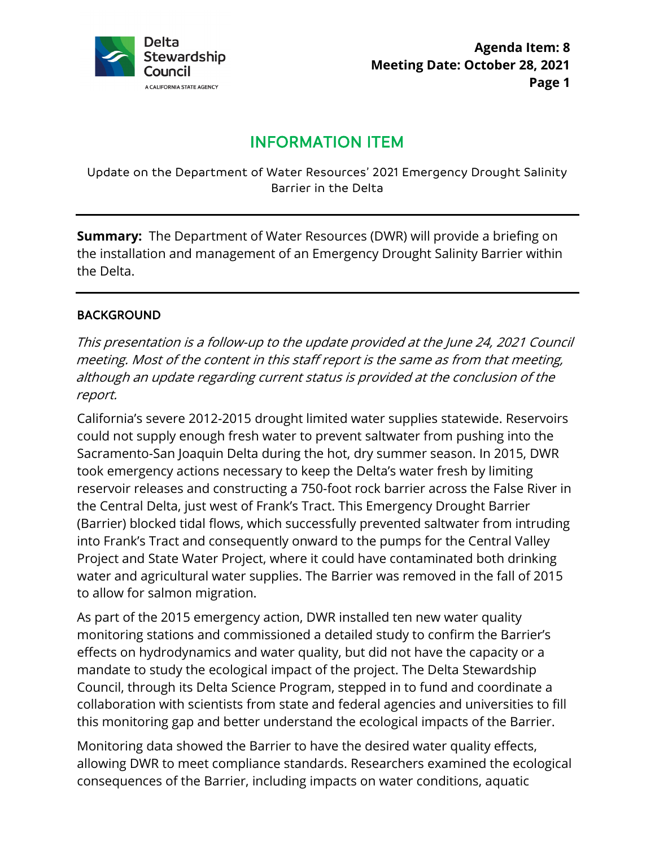

# INFORMATION ITEM

Update on the Department of Water Resources' 2021 Emergency Drought Salinity Barrier in the Delta

**Summary:** The Department of Water Resources (DWR) will provide a briefing on the installation and management of an Emergency Drought Salinity Barrier within the Delta.

#### BACKGROUND

This presentation is a follow-up to the update provided at the June 24, 2021 Council meeting. Most of the content in this staff report is the same as from that meeting, although an update regarding current status is provided at the conclusion of the report.

California's severe 2012-2015 drought limited water supplies statewide. Reservoirs could not supply enough fresh water to prevent saltwater from pushing into the Sacramento-San Joaquin Delta during the hot, dry summer season. In 2015, DWR took emergency actions necessary to keep the Delta's water fresh by limiting reservoir releases and constructing a 750-foot rock barrier across the False River in the Central Delta, just west of Frank's Tract. This Emergency Drought Barrier (Barrier) blocked tidal flows, which successfully prevented saltwater from intruding into Frank's Tract and consequently onward to the pumps for the Central Valley Project and State Water Project, where it could have contaminated both drinking water and agricultural water supplies. The Barrier was removed in the fall of 2015 to allow for salmon migration.

As part of the 2015 emergency action, DWR installed ten new water quality monitoring stations and commissioned a detailed study to confirm the Barrier's effects on hydrodynamics and water quality, but did not have the capacity or a mandate to study the ecological impact of the project. The Delta Stewardship Council, through its Delta Science Program, stepped in to fund and coordinate a collaboration with scientists from state and federal agencies and universities to fill this monitoring gap and better understand the ecological impacts of the Barrier.

Monitoring data showed the Barrier to have the desired water quality effects, allowing DWR to meet compliance standards. Researchers examined the ecological consequences of the Barrier, including impacts on water conditions, aquatic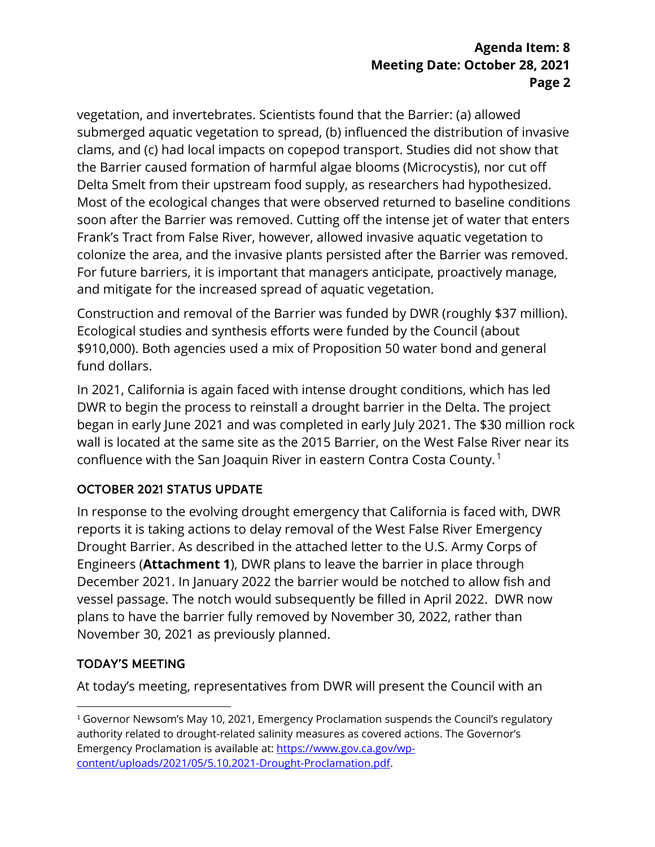### **Agenda Item: 8 Meeting Date: October 28, 2021 Page 2**

vegetation, and invertebrates. Scientists found that the Barrier: (a) allowed submerged aquatic vegetation to spread, (b) influenced the distribution of invasive clams, and (c) had local impacts on copepod transport. Studies did not show that the Barrier caused formation of harmful algae blooms (Microcystis), nor cut off Delta Smelt from their upstream food supply, as researchers had hypothesized. Most of the ecological changes that were observed returned to baseline conditions soon after the Barrier was removed. Cutting off the intense jet of water that enters Frank's Tract from False River, however, allowed invasive aquatic vegetation to colonize the area, and the invasive plants persisted after the Barrier was removed. For future barriers, it is important that managers anticipate, proactively manage, and mitigate for the increased spread of aquatic vegetation.

Construction and removal of the Barrier was funded by DWR (roughly \$37 million). Ecological studies and synthesis efforts were funded by the Council (about \$910,000). Both agencies used a mix of Proposition 50 water bond and general fund dollars.

In 2021, California is again faced with intense drought conditions, which has led DWR to begin the process to reinstall a drought barrier in the Delta. The project began in early June 2021 and was completed in early July 2021. The \$30 million rock wall is located at the same site as the 2015 Barrier, on the West False River near its confluence with the San Joaquin River in eastern Contra Costa County. $^1$ 

## OCTOBER 2021 STATUS UPDATE

In response to the evolving drought emergency that California is faced with, DWR reports it is taking actions to delay removal of the West False River Emergency Drought Barrier. As described in the attached letter to the U.S. Army Corps of Engineers (**Attachment 1**), DWR plans to leave the barrier in place through December 2021. In January 2022 the barrier would be notched to allow fish and vessel passage. The notch would subsequently be filled in April 2022. DWR now plans to have the barrier fully removed by November 30, 2022, rather than November 30, 2021 as previously planned.

### TODAY'S MEETING

At today's meeting, representatives from DWR will present the Council with an

<sup>&</sup>lt;sup>1</sup> Governor Newsom's May 10, 2021, Emergency Proclamation suspends the Council's regulatory authority related to drought-related salinity measures as covered actions. The Governor's Emergency Proclamation is available at[: https://www.gov.ca.gov/wp](https://www.gov.ca.gov/wp-content/uploads/2021/05/5.10.2021-Drought-Proclamation.pdf)[content/uploads/2021/05/5.10.2021-Drought-Proclamation.pdf.](https://www.gov.ca.gov/wp-content/uploads/2021/05/5.10.2021-Drought-Proclamation.pdf)